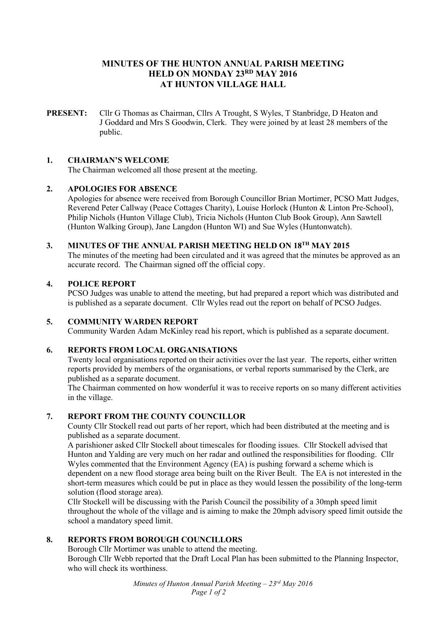# **MINUTES OF THE HUNTON ANNUAL PARISH MEETING HELD ON MONDAY 23RD MAY 2016 AT HUNTON VILLAGE HALL**

**PRESENT:** Cllr G Thomas as Chairman, Cllrs A Trought, S Wyles, T Stanbridge, D Heaton and J Goddard and Mrs S Goodwin, Clerk. They were joined by at least 28 members of the public.

### **1. CHAIRMAN'S WELCOME**

The Chairman welcomed all those present at the meeting.

#### **2. APOLOGIES FOR ABSENCE**

Apologies for absence were received from Borough Councillor Brian Mortimer, PCSO Matt Judges, Reverend Peter Callway (Peace Cottages Charity), Louise Horlock (Hunton & Linton Pre-School), Philip Nichols (Hunton Village Club), Tricia Nichols (Hunton Club Book Group), Ann Sawtell (Hunton Walking Group), Jane Langdon (Hunton WI) and Sue Wyles (Huntonwatch).

## **3. MINUTES OF THE ANNUAL PARISH MEETING HELD ON 18TH MAY 2015**

The minutes of the meeting had been circulated and it was agreed that the minutes be approved as an accurate record. The Chairman signed off the official copy.

## **4. POLICE REPORT**

PCSO Judges was unable to attend the meeting, but had prepared a report which was distributed and is published as a separate document. Cllr Wyles read out the report on behalf of PCSO Judges.

#### **5. COMMUNITY WARDEN REPORT**

Community Warden Adam McKinley read his report, which is published as a separate document.

## **6. REPORTS FROM LOCAL ORGANISATIONS**

Twenty local organisations reported on their activities over the last year. The reports, either written reports provided by members of the organisations, or verbal reports summarised by the Clerk, are published as a separate document.

The Chairman commented on how wonderful it was to receive reports on so many different activities in the village.

## **7. REPORT FROM THE COUNTY COUNCILLOR**

County Cllr Stockell read out parts of her report, which had been distributed at the meeting and is published as a separate document.

A parishioner asked Cllr Stockell about timescales for flooding issues. Cllr Stockell advised that Hunton and Yalding are very much on her radar and outlined the responsibilities for flooding. Cllr Wyles commented that the Environment Agency (EA) is pushing forward a scheme which is dependent on a new flood storage area being built on the River Beult. The EA is not interested in the short-term measures which could be put in place as they would lessen the possibility of the long-term solution (flood storage area).

Cllr Stockell will be discussing with the Parish Council the possibility of a 30mph speed limit throughout the whole of the village and is aiming to make the 20mph advisory speed limit outside the school a mandatory speed limit.

## **8. REPORTS FROM BOROUGH COUNCILLORS**

Borough Cllr Mortimer was unable to attend the meeting. Borough Cllr Webb reported that the Draft Local Plan has been submitted to the Planning Inspector, who will check its worthiness.

> *Minutes of Hunton Annual Parish Meeting – 23rd May 2016 Page 1 of 2*